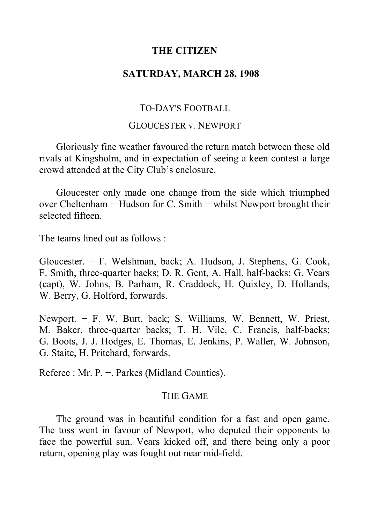# **THE CITIZEN**

# **SATURDAY, MARCH 28, 1908**

## TO-DAY'S FOOTBALL

### GLOUCESTER v. NEWPORT

Gloriously fine weather favoured the return match between these old rivals at Kingsholm, and in expectation of seeing a keen contest a large crowd attended at the City Club's enclosure.

Gloucester only made one change from the side which triumphed over Cheltenham − Hudson for C. Smith − whilst Newport brought their selected fifteen.

The teams lined out as follows : −

Gloucester. − F. Welshman, back; A. Hudson, J. Stephens, G. Cook, F. Smith, three-quarter backs; D. R. Gent, A. Hall, half-backs; G. Vears (capt), W. Johns, B. Parham, R. Craddock, H. Quixley, D. Hollands, W. Berry, G. Holford, forwards.

Newport. – F. W. Burt, back; S. Williams, W. Bennett, W. Priest, M. Baker, three-quarter backs; T. H. Vile, C. Francis, half-backs; G. Boots, J. J. Hodges, E. Thomas, E. Jenkins, P. Waller, W. Johnson, G. Staite, H. Pritchard, forwards.

Referee : Mr. P. −. Parkes (Midland Counties).

### THE GAME

The ground was in beautiful condition for a fast and open game. The toss went in favour of Newport, who deputed their opponents to face the powerful sun. Vears kicked off, and there being only a poor return, opening play was fought out near mid-field.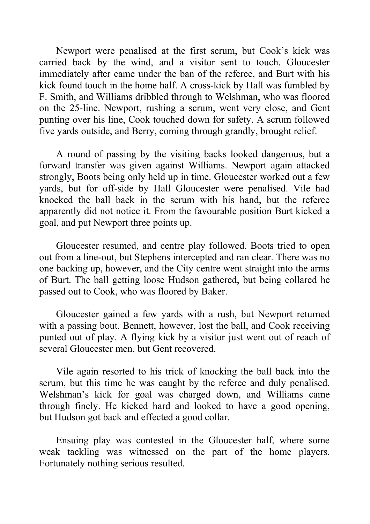Newport were penalised at the first scrum, but Cook's kick was carried back by the wind, and a visitor sent to touch. Gloucester immediately after came under the ban of the referee, and Burt with his kick found touch in the home half. A cross-kick by Hall was fumbled by F. Smith, and Williams dribbled through to Welshman, who was floored on the 25-line. Newport, rushing a scrum, went very close, and Gent punting over his line, Cook touched down for safety. A scrum followed five yards outside, and Berry, coming through grandly, brought relief.

A round of passing by the visiting backs looked dangerous, but a forward transfer was given against Williams. Newport again attacked strongly, Boots being only held up in time. Gloucester worked out a few yards, but for off-side by Hall Gloucester were penalised. Vile had knocked the ball back in the scrum with his hand, but the referee apparently did not notice it. From the favourable position Burt kicked a goal, and put Newport three points up.

Gloucester resumed, and centre play followed. Boots tried to open out from a line-out, but Stephens intercepted and ran clear. There was no one backing up, however, and the City centre went straight into the arms of Burt. The ball getting loose Hudson gathered, but being collared he passed out to Cook, who was floored by Baker.

Gloucester gained a few yards with a rush, but Newport returned with a passing bout. Bennett, however, lost the ball, and Cook receiving punted out of play. A flying kick by a visitor just went out of reach of several Gloucester men, but Gent recovered.

Vile again resorted to his trick of knocking the ball back into the scrum, but this time he was caught by the referee and duly penalised. Welshman's kick for goal was charged down, and Williams came through finely. He kicked hard and looked to have a good opening, but Hudson got back and effected a good collar.

Ensuing play was contested in the Gloucester half, where some weak tackling was witnessed on the part of the home players. Fortunately nothing serious resulted.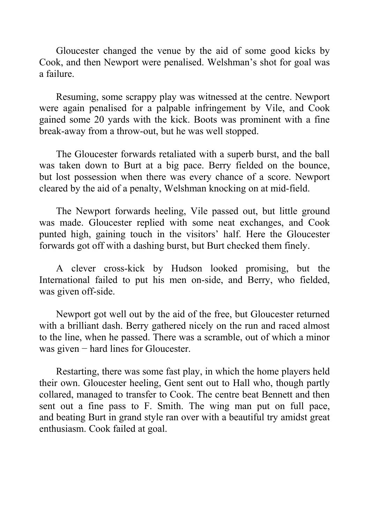Gloucester changed the venue by the aid of some good kicks by Cook, and then Newport were penalised. Welshman's shot for goal was a failure.

Resuming, some scrappy play was witnessed at the centre. Newport were again penalised for a palpable infringement by Vile, and Cook gained some 20 yards with the kick. Boots was prominent with a fine break-away from a throw-out, but he was well stopped.

The Gloucester forwards retaliated with a superb burst, and the ball was taken down to Burt at a big pace. Berry fielded on the bounce, but lost possession when there was every chance of a score. Newport cleared by the aid of a penalty, Welshman knocking on at mid-field.

The Newport forwards heeling, Vile passed out, but little ground was made. Gloucester replied with some neat exchanges, and Cook punted high, gaining touch in the visitors' half. Here the Gloucester forwards got off with a dashing burst, but Burt checked them finely.

A clever cross-kick by Hudson looked promising, but the International failed to put his men on-side, and Berry, who fielded, was given off-side.

Newport got well out by the aid of the free, but Gloucester returned with a brilliant dash. Berry gathered nicely on the run and raced almost to the line, when he passed. There was a scramble, out of which a minor was given − hard lines for Gloucester.

Restarting, there was some fast play, in which the home players held their own. Gloucester heeling, Gent sent out to Hall who, though partly collared, managed to transfer to Cook. The centre beat Bennett and then sent out a fine pass to F. Smith. The wing man put on full pace, and beating Burt in grand style ran over with a beautiful try amidst great enthusiasm. Cook failed at goal.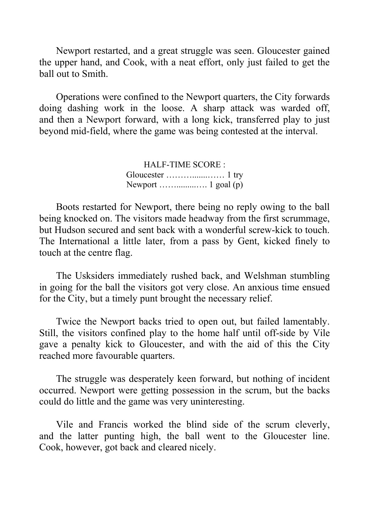Newport restarted, and a great struggle was seen. Gloucester gained the upper hand, and Cook, with a neat effort, only just failed to get the ball out to Smith.

Operations were confined to the Newport quarters, the City forwards doing dashing work in the loose. A sharp attack was warded off, and then a Newport forward, with a long kick, transferred play to just beyond mid-field, where the game was being contested at the interval.

> HALF-TIME SCORE : Gloucester ……….......…… 1 try Newport …….........…. 1 goal (p)

Boots restarted for Newport, there being no reply owing to the ball being knocked on. The visitors made headway from the first scrummage, but Hudson secured and sent back with a wonderful screw-kick to touch. The International a little later, from a pass by Gent, kicked finely to touch at the centre flag.

The Usksiders immediately rushed back, and Welshman stumbling in going for the ball the visitors got very close. An anxious time ensued for the City, but a timely punt brought the necessary relief.

Twice the Newport backs tried to open out, but failed lamentably. Still, the visitors confined play to the home half until off-side by Vile gave a penalty kick to Gloucester, and with the aid of this the City reached more favourable quarters.

The struggle was desperately keen forward, but nothing of incident occurred. Newport were getting possession in the scrum, but the backs could do little and the game was very uninteresting.

Vile and Francis worked the blind side of the scrum cleverly, and the latter punting high, the ball went to the Gloucester line. Cook, however, got back and cleared nicely.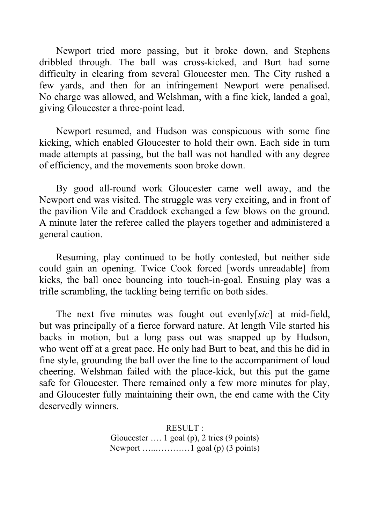Newport tried more passing, but it broke down, and Stephens dribbled through. The ball was cross-kicked, and Burt had some difficulty in clearing from several Gloucester men. The City rushed a few yards, and then for an infringement Newport were penalised. No charge was allowed, and Welshman, with a fine kick, landed a goal, giving Gloucester a three-point lead.

Newport resumed, and Hudson was conspicuous with some fine kicking, which enabled Gloucester to hold their own. Each side in turn made attempts at passing, but the ball was not handled with any degree of efficiency, and the movements soon broke down.

By good all-round work Gloucester came well away, and the Newport end was visited. The struggle was very exciting, and in front of the pavilion Vile and Craddock exchanged a few blows on the ground. A minute later the referee called the players together and administered a general caution.

Resuming, play continued to be hotly contested, but neither side could gain an opening. Twice Cook forced [words unreadable] from kicks, the ball once bouncing into touch-in-goal. Ensuing play was a trifle scrambling, the tackling being terrific on both sides.

The next five minutes was fought out evenly[*sic*] at mid-field, but was principally of a fierce forward nature. At length Vile started his backs in motion, but a long pass out was snapped up by Hudson, who went off at a great pace. He only had Burt to beat, and this he did in fine style, grounding the ball over the line to the accompaniment of loud cheering. Welshman failed with the place-kick, but this put the game safe for Gloucester. There remained only a few more minutes for play, and Gloucester fully maintaining their own, the end came with the City deservedly winners.

> RESULT : Gloucester …. 1 goal (p), 2 tries (9 points) Newport …..…………1 goal (p) (3 points)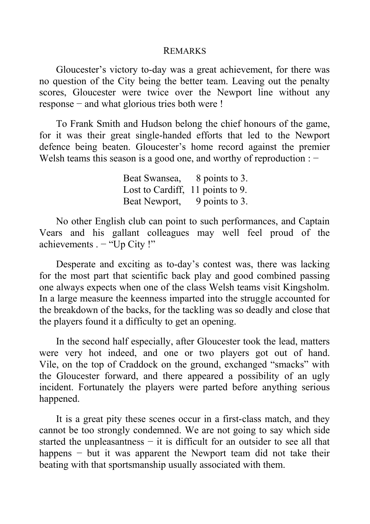#### REMARKS

Gloucester's victory to-day was a great achievement, for there was no question of the City being the better team. Leaving out the penalty scores, Gloucester were twice over the Newport line without any response − and what glorious tries both were !

To Frank Smith and Hudson belong the chief honours of the game, for it was their great single-handed efforts that led to the Newport defence being beaten. Gloucester's home record against the premier Welsh teams this season is a good one, and worthy of reproduction : -

> Beat Swansea, 8 points to 3. Lost to Cardiff, 11 points to 9. Beat Newport, 9 points to 3.

No other English club can point to such performances, and Captain Vears and his gallant colleagues may well feel proud of the achievements . − "Up City !"

Desperate and exciting as to-day's contest was, there was lacking for the most part that scientific back play and good combined passing one always expects when one of the class Welsh teams visit Kingsholm. In a large measure the keenness imparted into the struggle accounted for the breakdown of the backs, for the tackling was so deadly and close that the players found it a difficulty to get an opening.

In the second half especially, after Gloucester took the lead, matters were very hot indeed, and one or two players got out of hand. Vile, on the top of Craddock on the ground, exchanged "smacks" with the Gloucester forward, and there appeared a possibility of an ugly incident. Fortunately the players were parted before anything serious happened.

It is a great pity these scenes occur in a first-class match, and they cannot be too strongly condemned. We are not going to say which side started the unpleasantness  $-$  it is difficult for an outsider to see all that happens – but it was apparent the Newport team did not take their beating with that sportsmanship usually associated with them.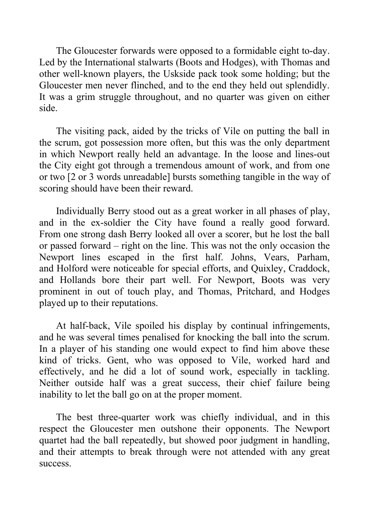The Gloucester forwards were opposed to a formidable eight to-day. Led by the International stalwarts (Boots and Hodges), with Thomas and other well-known players, the Uskside pack took some holding; but the Gloucester men never flinched, and to the end they held out splendidly. It was a grim struggle throughout, and no quarter was given on either side.

The visiting pack, aided by the tricks of Vile on putting the ball in the scrum, got possession more often, but this was the only department in which Newport really held an advantage. In the loose and lines-out the City eight got through a tremendous amount of work, and from one or two [2 or 3 words unreadable] bursts something tangible in the way of scoring should have been their reward.

Individually Berry stood out as a great worker in all phases of play, and in the ex-soldier the City have found a really good forward. From one strong dash Berry looked all over a scorer, but he lost the ball or passed forward – right on the line. This was not the only occasion the Newport lines escaped in the first half. Johns, Vears, Parham, and Holford were noticeable for special efforts, and Quixley, Craddock, and Hollands bore their part well. For Newport, Boots was very prominent in out of touch play, and Thomas, Pritchard, and Hodges played up to their reputations.

At half-back, Vile spoiled his display by continual infringements, and he was several times penalised for knocking the ball into the scrum. In a player of his standing one would expect to find him above these kind of tricks. Gent, who was opposed to Vile, worked hard and effectively, and he did a lot of sound work, especially in tackling. Neither outside half was a great success, their chief failure being inability to let the ball go on at the proper moment.

The best three-quarter work was chiefly individual, and in this respect the Gloucester men outshone their opponents. The Newport quartet had the ball repeatedly, but showed poor judgment in handling, and their attempts to break through were not attended with any great success.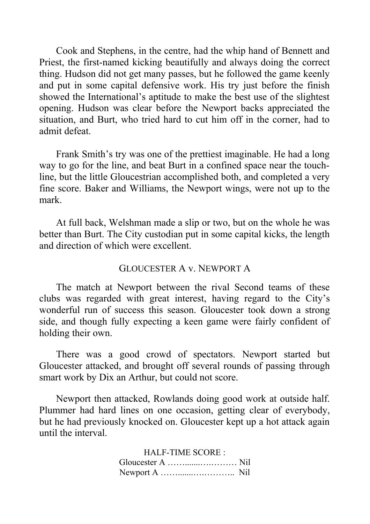Cook and Stephens, in the centre, had the whip hand of Bennett and Priest, the first-named kicking beautifully and always doing the correct thing. Hudson did not get many passes, but he followed the game keenly and put in some capital defensive work. His try just before the finish showed the International's aptitude to make the best use of the slightest opening. Hudson was clear before the Newport backs appreciated the situation, and Burt, who tried hard to cut him off in the corner, had to admit defeat.

Frank Smith's try was one of the prettiest imaginable. He had a long way to go for the line, and beat Burt in a confined space near the touchline, but the little Gloucestrian accomplished both, and completed a very fine score. Baker and Williams, the Newport wings, were not up to the mark.

At full back, Welshman made a slip or two, but on the whole he was better than Burt. The City custodian put in some capital kicks, the length and direction of which were excellent.

### GLOUCESTER A v. NEWPORT A

The match at Newport between the rival Second teams of these clubs was regarded with great interest, having regard to the City's wonderful run of success this season. Gloucester took down a strong side, and though fully expecting a keen game were fairly confident of holding their own.

There was a good crowd of spectators. Newport started but Gloucester attacked, and brought off several rounds of passing through smart work by Dix an Arthur, but could not score.

Newport then attacked, Rowlands doing good work at outside half. Plummer had hard lines on one occasion, getting clear of everybody, but he had previously knocked on. Gloucester kept up a hot attack again until the interval.

| <b>HALF-TIME SCORE:</b> |  |
|-------------------------|--|
|                         |  |
|                         |  |